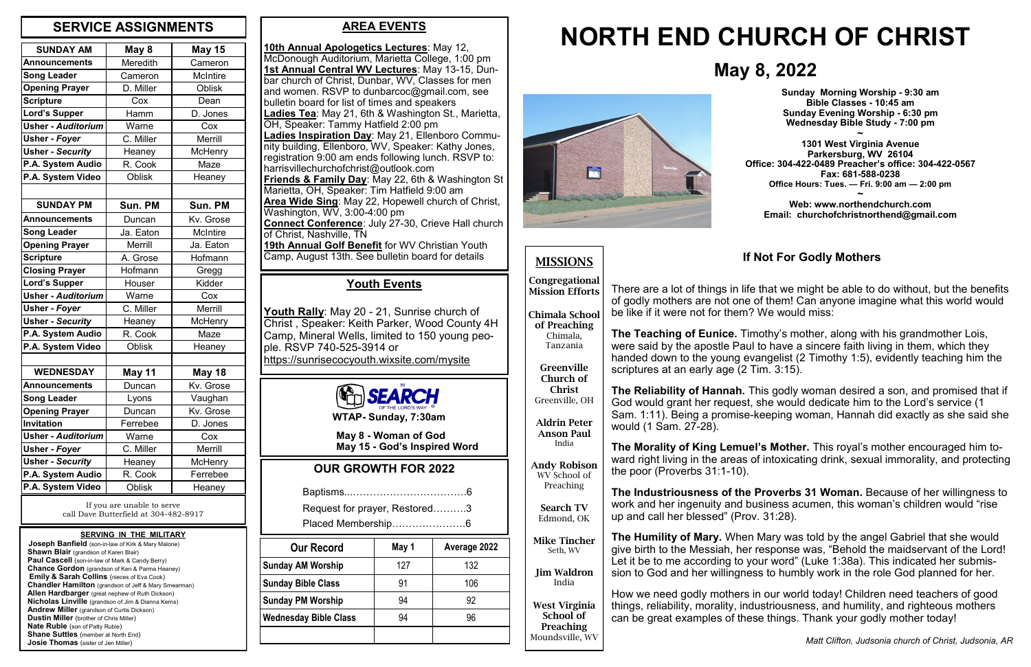## **AREA EVENTS**

**10th Annual Apologetics Lectures**: May 12, McDonough Auditorium, Marietta College, 1:00 pm **1st Annual Central WV Lectures**: May 13-15, Dunbar church of Christ, Dunbar, WV, Classes for men and women. RSVP to dunbarcoc@gmail.com, see bulletin board for list of times and speakers **Ladies Tea**: May 21, 6th & Washington St., Marietta, OH, Speaker: Tammy Hatfield 2:00 pm **Ladies Inspiration Day**: May 21, Ellenboro Community building, Ellenboro, WV, Speaker: Kathy Jones, registration 9:00 am ends following lunch. RSVP to: harrisvillechurchofchrist@outlook.com **Friends & Family Day**: May 22, 6th & Washington St Marietta, OH, Speaker: Tim Hatfield 9:00 am **Area Wide Sing**: May 22, Hopewell church of Christ, Washington, WV, 3:00-4:00 pm **Connect Conference**: July 27-30, Crieve Hall church of Christ, Nashville, TN **19th Annual Golf Benefit** for WV Christian Youth Camp, August 13th. See bulletin board for details

**Joseph Banfield** (son-in-law of Kirk & Mary Malone) **Shawn Blair** (grandson of Karen Blair) **Paul Cascell** (son-in-law of Mark & Candy Berry)  **Chance Gordon** (grandson of Ken & Parma Heaney) **Emily & Sarah Collins** (nieces of Eva Cook)  **Chandler Hamilton** (grandson of Jeff & Mary Smearman)  **Allen Hardbarger** (great nephew of Ruth Dickson)  **Nicholas Linville** (grandson of Jim & Dianna Kerns)  **Andrew Miller** (grandson of Curtis Dickson)  **Dustin Miller** (brother of Chris Miller)  **Nate Ruble** (son of Patty Ruble) **Shane Suttles** (member at North End) **Josie Thomas** (sister of Jen Miller)

| <b>SUNDAY AM</b>          | May 8          | <b>May 15</b>   |
|---------------------------|----------------|-----------------|
| <b>Announcements</b>      | Meredith       | Cameron         |
| <b>Song Leader</b>        | Cameron        | <b>McIntire</b> |
| <b>Opening Prayer</b>     | D. Miller      | <b>Oblisk</b>   |
| <b>Scripture</b>          | Cox            | Dean            |
| <b>Lord's Supper</b>      | Hamm           | D. Jones        |
| <b>Usher - Auditorium</b> | Warne          | Cox             |
| <b>Usher - Foyer</b>      | C. Miller      | <b>Merrill</b>  |
| <b>Usher - Security</b>   | Heaney         | <b>McHenry</b>  |
| P.A. System Audio         | R. Cook        | Maze            |
| P.A. System Video         | <b>Oblisk</b>  | Heaney          |
|                           |                |                 |
| <b>SUNDAY PM</b>          | Sun. PM        | Sun. PM         |
| <b>Announcements</b>      | Duncan         | Kv. Grose       |
| <b>Song Leader</b>        | Ja. Eaton      | <b>McIntire</b> |
| <b>Opening Prayer</b>     | <b>Merrill</b> | Ja. Eaton       |
| <b>Scripture</b>          | A. Grose       | Hofmann         |
| <b>Closing Prayer</b>     | Hofmann        | Gregg           |
| <b>Lord's Supper</b>      | Houser         | Kidder          |
| <b>Usher - Auditorium</b> | Warne          | Cox             |
| Usher - Foyer             | C. Miller      | <b>Merrill</b>  |
| <b>Usher - Security</b>   | Heaney         | <b>McHenry</b>  |
| P.A. System Audio         | R. Cook        | Maze            |
| P.A. System Video         | <b>Oblisk</b>  | Heaney          |
|                           |                |                 |
| <b>WEDNESDAY</b>          | May 11         | <b>May 18</b>   |
| <b>Announcements</b>      | Duncan         | Kv. Grose       |
| <b>Song Leader</b>        | Lyons          | Vaughan         |
| <b>Opening Prayer</b>     | Duncan         | Kv. Grose       |
| Invitation                | Ferrebee       | D. Jones        |
| <b>Usher - Auditorium</b> | Warne          | Cox             |
| Usher - Foyer             | C. Miller      | Merrill         |
| <b>Usher - Security</b>   | Heaney         | <b>McHenry</b>  |
| P.A. System Audio         | R. Cook        | Ferrebee        |
| P.A. System Video         | <b>Oblisk</b>  | Heaney          |

## **May 8, 2022**



# **NORTH END CHURCH OF CHRIST**

### **SERVING IN THE MILITARY**

## **MISSIONS**

**Congregational Mission Efforts**

**Chimala School of Preaching**

> Chimala, Tanzania

**Greenville Church of Christ**

Greenville, OH

**Aldrin Peter Anson Paul** India

**Andy Robison** WV School of Preaching

**Search TV** Edmond, OK

**Mike Tincher** Seth, WV

**Jim Waldron** India

**West Virginia School of Preaching** Moundsville, WV

## **OUR GROWTH FOR 2022**

|--|

Request for prayer, Restored……….3

Placed Membership………………….6



 **May 8 - Woman of God May 15 - God's Inspired Word** **Sunday Morning Worship - 9:30 am Bible Classes - 10:45 am Sunday Evening Worship - 6:30 pm Wednesday Bible Study - 7:00 pm**

**~ 1301 West Virginia Avenue Parkersburg, WV 26104 Office: 304-422-0489 Preacher's office: 304-422-0567 Fax: 681-588-0238 Office Hours: Tues. — Fri. 9:00 am — 2:00 pm ~**

**Web: www.northendchurch.com Email: churchofchristnorthend@gmail.com**

If you are unable to serve call Dave Butterfield at 304-482-8917

## **SERVICE ASSIGNMENTS**

## **Youth Events**

**Youth Rally**: May 20 - 21, Sunrise church of Christ , Speaker: Keith Parker, Wood County 4H Camp, Mineral Wells, limited to 150 young people. RSVP 740-525-3914 or https://sunrisecocyouth.wixsite.com/mysite

| <b>Our Record</b>            | May 1 | Average 2022 |
|------------------------------|-------|--------------|
| <b>Sunday AM Worship</b>     | 127   | 132          |
| <b>Sunday Bible Class</b>    | 91    | 106          |
| <b>Sunday PM Worship</b>     | 94    | 92           |
| <b>Wednesday Bible Class</b> | 94    | 96           |
|                              |       |              |

## **If Not For Godly Mothers**

There are a lot of things in life that we might be able to do without, but the benefits of godly mothers are not one of them! Can anyone imagine what this world would be like if it were not for them? We would miss:

**The Teaching of Eunice.** Timothy's mother, along with his grandmother Lois, were said by the apostle Paul to have a sincere faith living in them, which they handed down to the young evangelist (2 Timothy 1:5), evidently teaching him the scriptures at an early age (2 Tim. 3:15).

**The Reliability of Hannah.** This godly woman desired a son, and promised that if God would grant her request, she would dedicate him to the Lord's service (1 Sam. 1:11). Being a promise-keeping woman, Hannah did exactly as she said she would (1 Sam. 27-28).

**The Morality of King Lemuel's Mother.** This royal's mother encouraged him toward right living in the areas of intoxicating drink, sexual immorality, and protecting the poor (Proverbs 31:1-10).

**The Industriousness of the Proverbs 31 Woman.** Because of her willingness to work and her ingenuity and business acumen, this woman's children would "rise up and call her blessed" (Prov. 31:28).

**The Humility of Mary.** When Mary was told by the angel Gabriel that she would give birth to the Messiah, her response was, "Behold the maidservant of the Lord! Let it be to me according to your word" (Luke 1:38a). This indicated her submission to God and her willingness to humbly work in the role God planned for her.

How we need godly mothers in our world today! Children need teachers of good things, reliability, morality, industriousness, and humility, and righteous mothers can be great examples of these things. Thank your godly mother today!